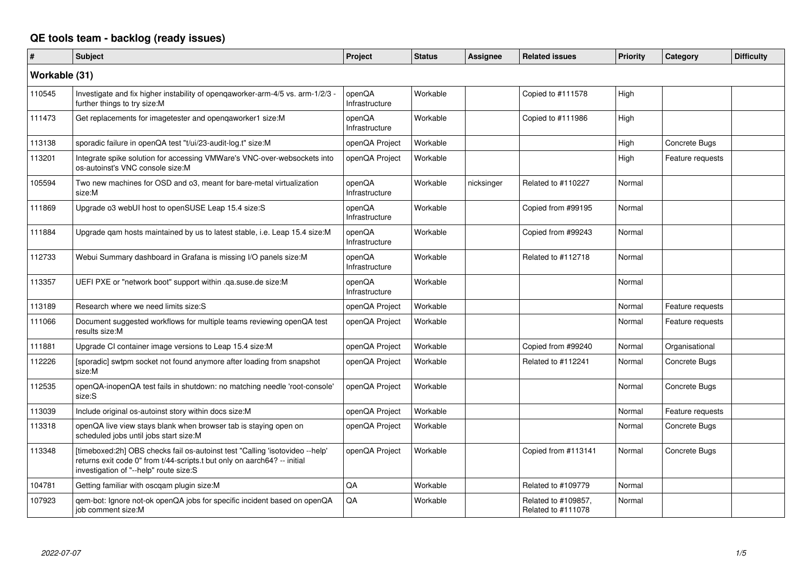## **QE tools team - backlog (ready issues)**

| $\vert$ #     | <b>Subject</b>                                                                                                                                                                                     | Project                  | <b>Status</b> | <b>Assignee</b> | <b>Related issues</b>                     | Priority | Category         | <b>Difficulty</b> |
|---------------|----------------------------------------------------------------------------------------------------------------------------------------------------------------------------------------------------|--------------------------|---------------|-----------------|-------------------------------------------|----------|------------------|-------------------|
| Workable (31) |                                                                                                                                                                                                    |                          |               |                 |                                           |          |                  |                   |
| 110545        | Investigate and fix higher instability of openqaworker-arm-4/5 vs. arm-1/2/3 -<br>further things to try size:M                                                                                     | openQA<br>Infrastructure | Workable      |                 | Copied to #111578                         | High     |                  |                   |
| 111473        | Get replacements for imagetester and openqaworker1 size:M                                                                                                                                          | openQA<br>Infrastructure | Workable      |                 | Copied to #111986                         | High     |                  |                   |
| 113138        | sporadic failure in openQA test "t/ui/23-audit-log.t" size:M                                                                                                                                       | openQA Project           | Workable      |                 |                                           | High     | Concrete Bugs    |                   |
| 113201        | Integrate spike solution for accessing VMWare's VNC-over-websockets into<br>os-autoinst's VNC console size:M                                                                                       | openQA Project           | Workable      |                 |                                           | High     | Feature requests |                   |
| 105594        | Two new machines for OSD and o3, meant for bare-metal virtualization<br>size:M                                                                                                                     | openQA<br>Infrastructure | Workable      | nicksinger      | Related to #110227                        | Normal   |                  |                   |
| 111869        | Upgrade o3 webUI host to openSUSE Leap 15.4 size:S                                                                                                                                                 | openQA<br>Infrastructure | Workable      |                 | Copied from #99195                        | Normal   |                  |                   |
| 111884        | Upgrade qam hosts maintained by us to latest stable, i.e. Leap 15.4 size:M                                                                                                                         | openQA<br>Infrastructure | Workable      |                 | Copied from #99243                        | Normal   |                  |                   |
| 112733        | Webui Summary dashboard in Grafana is missing I/O panels size:M                                                                                                                                    | openQA<br>Infrastructure | Workable      |                 | Related to #112718                        | Normal   |                  |                   |
| 113357        | UEFI PXE or "network boot" support within .qa.suse.de size:M                                                                                                                                       | openQA<br>Infrastructure | Workable      |                 |                                           | Normal   |                  |                   |
| 113189        | Research where we need limits size:S                                                                                                                                                               | openQA Project           | Workable      |                 |                                           | Normal   | Feature requests |                   |
| 111066        | Document suggested workflows for multiple teams reviewing openQA test<br>results size:M                                                                                                            | openQA Project           | Workable      |                 |                                           | Normal   | Feature requests |                   |
| 111881        | Upgrade CI container image versions to Leap 15.4 size:M                                                                                                                                            | openQA Project           | Workable      |                 | Copied from #99240                        | Normal   | Organisational   |                   |
| 112226        | [sporadic] swtpm socket not found anymore after loading from snapshot<br>size:M                                                                                                                    | openQA Project           | Workable      |                 | Related to #112241                        | Normal   | Concrete Bugs    |                   |
| 112535        | openQA-inopenQA test fails in shutdown: no matching needle 'root-console'<br>size:S                                                                                                                | openQA Project           | Workable      |                 |                                           | Normal   | Concrete Bugs    |                   |
| 113039        | Include original os-autoinst story within docs size:M                                                                                                                                              | openQA Project           | Workable      |                 |                                           | Normal   | Feature requests |                   |
| 113318        | openQA live view stays blank when browser tab is staying open on<br>scheduled jobs until jobs start size:M                                                                                         | openQA Project           | Workable      |                 |                                           | Normal   | Concrete Bugs    |                   |
| 113348        | [timeboxed:2h] OBS checks fail os-autoinst test "Calling 'isotovideo --help'<br>returns exit code 0" from t/44-scripts.t but only on aarch64? -- initial<br>investigation of "--help" route size:S | openQA Project           | Workable      |                 | Copied from #113141                       | Normal   | Concrete Bugs    |                   |
| 104781        | Getting familiar with oscqam plugin size:M                                                                                                                                                         | QA                       | Workable      |                 | Related to #109779                        | Normal   |                  |                   |
| 107923        | gem-bot: Ignore not-ok openQA jobs for specific incident based on openQA<br>job comment size:M                                                                                                     | QA                       | Workable      |                 | Related to #109857,<br>Related to #111078 | Normal   |                  |                   |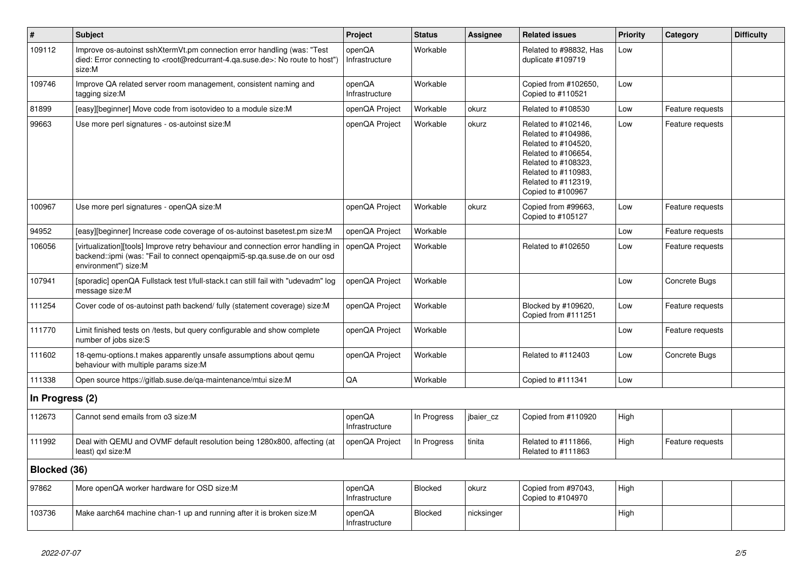| $\sharp$        | <b>Subject</b>                                                                                                                                                                                    | Project                  | <b>Status</b>  | <b>Assignee</b> | <b>Related issues</b>                                                                                                                                                              | <b>Priority</b> | Category         | <b>Difficulty</b> |
|-----------------|---------------------------------------------------------------------------------------------------------------------------------------------------------------------------------------------------|--------------------------|----------------|-----------------|------------------------------------------------------------------------------------------------------------------------------------------------------------------------------------|-----------------|------------------|-------------------|
| 109112          | Improve os-autoinst sshXtermVt.pm connection error handling (was: "Test<br>died: Error connecting to <root@redcurrant-4.ga.suse.de>: No route to host")<br/>size:M</root@redcurrant-4.ga.suse.de> | openQA<br>Infrastructure | Workable       |                 | Related to #98832. Has<br>duplicate #109719                                                                                                                                        | Low             |                  |                   |
| 109746          | Improve QA related server room management, consistent naming and<br>tagging size:M                                                                                                                | openQA<br>Infrastructure | Workable       |                 | Copied from #102650,<br>Copied to #110521                                                                                                                                          | Low             |                  |                   |
| 81899           | [easy][beginner] Move code from isotovideo to a module size:M                                                                                                                                     | openQA Project           | Workable       | okurz           | Related to #108530                                                                                                                                                                 | Low             | Feature requests |                   |
| 99663           | Use more perl signatures - os-autoinst size:M                                                                                                                                                     | openQA Project           | Workable       | okurz           | Related to #102146,<br>Related to #104986,<br>Related to #104520,<br>Related to #106654,<br>Related to #108323,<br>Related to #110983,<br>Related to #112319,<br>Copied to #100967 | Low             | Feature requests |                   |
| 100967          | Use more perl signatures - openQA size:M                                                                                                                                                          | openQA Project           | Workable       | okurz           | Copied from #99663,<br>Copied to #105127                                                                                                                                           | Low             | Feature requests |                   |
| 94952           | [easy][beginner] Increase code coverage of os-autoinst basetest.pm size:M                                                                                                                         | openQA Project           | Workable       |                 |                                                                                                                                                                                    | Low             | Feature requests |                   |
| 106056          | [virtualization][tools] Improve retry behaviour and connection error handling in<br>backend::ipmi (was: "Fail to connect opengaipmi5-sp.ga.suse.de on our osd<br>environment") size:M             | openQA Project           | Workable       |                 | Related to #102650                                                                                                                                                                 | Low             | Feature requests |                   |
| 107941          | [sporadic] openQA Fullstack test t/full-stack.t can still fail with "udevadm" log<br>message size:M                                                                                               | openQA Project           | Workable       |                 |                                                                                                                                                                                    | Low             | Concrete Bugs    |                   |
| 111254          | Cover code of os-autoinst path backend/ fully (statement coverage) size:M                                                                                                                         | openQA Project           | Workable       |                 | Blocked by #109620,<br>Copied from #111251                                                                                                                                         | Low             | Feature requests |                   |
| 111770          | Limit finished tests on /tests, but query configurable and show complete<br>number of jobs size:S                                                                                                 | openQA Project           | Workable       |                 |                                                                                                                                                                                    | Low             | Feature requests |                   |
| 111602          | 18-gemu-options.t makes apparently unsafe assumptions about gemu<br>behaviour with multiple params size:M                                                                                         | openQA Project           | Workable       |                 | Related to #112403                                                                                                                                                                 | Low             | Concrete Bugs    |                   |
| 111338          | Open source https://gitlab.suse.de/qa-maintenance/mtui size:M                                                                                                                                     | QA                       | Workable       |                 | Copied to #111341                                                                                                                                                                  | Low             |                  |                   |
| In Progress (2) |                                                                                                                                                                                                   |                          |                |                 |                                                                                                                                                                                    |                 |                  |                   |
| 112673          | Cannot send emails from o3 size:M                                                                                                                                                                 | openQA<br>Infrastructure | In Progress    | jbaier_cz       | Copied from #110920                                                                                                                                                                | High            |                  |                   |
| 111992          | Deal with QEMU and OVMF default resolution being 1280x800, affecting (at<br>least) qxl size:M                                                                                                     | openQA Project           | In Progress    | tinita          | Related to #111866,<br>Related to #111863                                                                                                                                          | High            | Feature requests |                   |
| Blocked (36)    |                                                                                                                                                                                                   |                          |                |                 |                                                                                                                                                                                    |                 |                  |                   |
| 97862           | More openQA worker hardware for OSD size:M                                                                                                                                                        | openQA<br>Infrastructure | <b>Blocked</b> | okurz           | Copied from #97043,<br>Copied to #104970                                                                                                                                           | High            |                  |                   |
| 103736          | Make aarch64 machine chan-1 up and running after it is broken size: M                                                                                                                             | openQA<br>Infrastructure | <b>Blocked</b> | nicksinger      |                                                                                                                                                                                    | High            |                  |                   |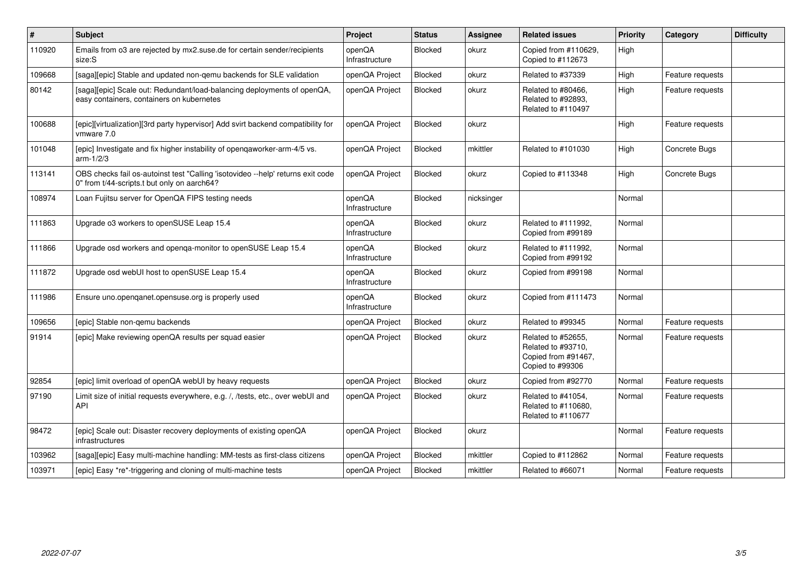| $\vert$ # | <b>Subject</b>                                                                                                                 | Project                  | <b>Status</b>  | <b>Assignee</b> | <b>Related issues</b>                                                               | <b>Priority</b> | Category         | <b>Difficulty</b> |
|-----------|--------------------------------------------------------------------------------------------------------------------------------|--------------------------|----------------|-----------------|-------------------------------------------------------------------------------------|-----------------|------------------|-------------------|
| 110920    | Emails from o3 are rejected by mx2.suse.de for certain sender/recipients<br>size:S                                             | openQA<br>Infrastructure | <b>Blocked</b> | okurz           | Copied from #110629,<br>Copied to #112673                                           | High            |                  |                   |
| 109668    | [saga][epic] Stable and updated non-gemu backends for SLE validation                                                           | openQA Project           | <b>Blocked</b> | okurz           | Related to #37339                                                                   | High            | Feature requests |                   |
| 80142     | [saga][epic] Scale out: Redundant/load-balancing deployments of openQA,<br>easy containers, containers on kubernetes           | openQA Project           | <b>Blocked</b> | okurz           | Related to #80466,<br>Related to #92893,<br>Related to #110497                      | High            | Feature requests |                   |
| 100688    | [epic][virtualization][3rd party hypervisor] Add svirt backend compatibility for<br>vmware 7.0                                 | openQA Project           | Blocked        | okurz           |                                                                                     | High            | Feature requests |                   |
| 101048    | [epic] Investigate and fix higher instability of opengaworker-arm-4/5 vs.<br>$arm-1/2/3$                                       | openQA Project           | <b>Blocked</b> | mkittler        | Related to #101030                                                                  | High            | Concrete Bugs    |                   |
| 113141    | OBS checks fail os-autoinst test "Calling 'isotovideo --help' returns exit code<br>0" from t/44-scripts.t but only on aarch64? | openQA Project           | <b>Blocked</b> | okurz           | Copied to #113348                                                                   | High            | Concrete Bugs    |                   |
| 108974    | Loan Fujitsu server for OpenQA FIPS testing needs                                                                              | openQA<br>Infrastructure | <b>Blocked</b> | nicksinger      |                                                                                     | Normal          |                  |                   |
| 111863    | Upgrade o3 workers to openSUSE Leap 15.4                                                                                       | openQA<br>Infrastructure | <b>Blocked</b> | okurz           | Related to #111992,<br>Copied from #99189                                           | Normal          |                  |                   |
| 111866    | Upgrade osd workers and openga-monitor to openSUSE Leap 15.4                                                                   | openQA<br>Infrastructure | <b>Blocked</b> | okurz           | Related to #111992.<br>Copied from #99192                                           | Normal          |                  |                   |
| 111872    | Upgrade osd webUI host to openSUSE Leap 15.4                                                                                   | openQA<br>Infrastructure | <b>Blocked</b> | okurz           | Copied from #99198                                                                  | Normal          |                  |                   |
| 111986    | Ensure uno openganet opensuse org is properly used                                                                             | openQA<br>Infrastructure | Blocked        | okurz           | Copied from #111473                                                                 | Normal          |                  |                   |
| 109656    | [epic] Stable non-gemu backends                                                                                                | openQA Project           | Blocked        | okurz           | Related to #99345                                                                   | Normal          | Feature requests |                   |
| 91914     | [epic] Make reviewing openQA results per squad easier                                                                          | openQA Project           | <b>Blocked</b> | okurz           | Related to #52655.<br>Related to #93710,<br>Copied from #91467,<br>Copied to #99306 | Normal          | Feature requests |                   |
| 92854     | [epic] limit overload of openQA webUI by heavy requests                                                                        | openQA Project           | Blocked        | okurz           | Copied from #92770                                                                  | Normal          | Feature requests |                   |
| 97190     | Limit size of initial requests everywhere, e.g. /, /tests, etc., over webUI and<br>API                                         | openQA Project           | <b>Blocked</b> | okurz           | Related to #41054,<br>Related to #110680,<br>Related to #110677                     | Normal          | Feature requests |                   |
| 98472     | [epic] Scale out: Disaster recovery deployments of existing openQA<br>infrastructures                                          | openQA Project           | <b>Blocked</b> | okurz           |                                                                                     | Normal          | Feature requests |                   |
| 103962    | [saga][epic] Easy multi-machine handling: MM-tests as first-class citizens                                                     | openQA Project           | Blocked        | mkittler        | Copied to #112862                                                                   | Normal          | Feature requests |                   |
| 103971    | [epic] Easy *re*-triggering and cloning of multi-machine tests                                                                 | openQA Project           | <b>Blocked</b> | mkittler        | Related to #66071                                                                   | Normal          | Feature requests |                   |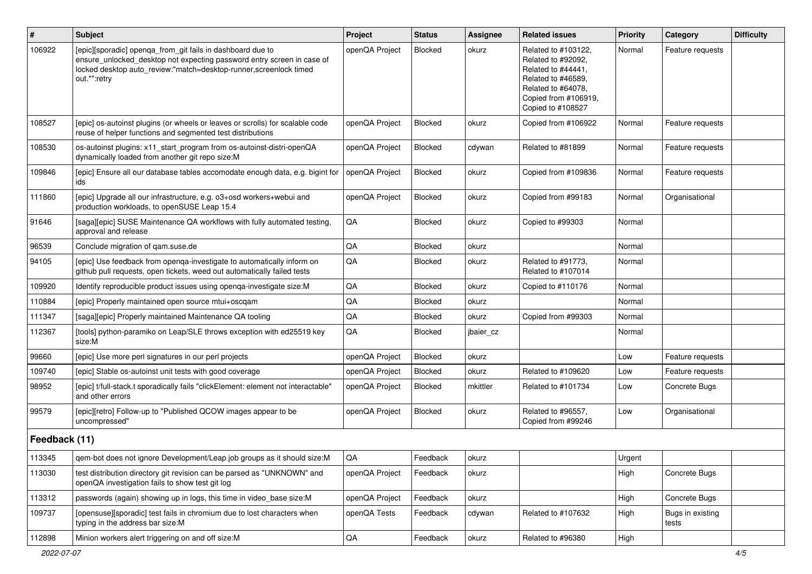| $\vert$ #     | Subject                                                                                                                                                                                                                   | Project        | <b>Status</b>  | <b>Assignee</b> | <b>Related issues</b>                                                                                                                                    | Priority | Category                  | <b>Difficulty</b> |
|---------------|---------------------------------------------------------------------------------------------------------------------------------------------------------------------------------------------------------------------------|----------------|----------------|-----------------|----------------------------------------------------------------------------------------------------------------------------------------------------------|----------|---------------------------|-------------------|
| 106922        | [epic][sporadic] openqa_from_git fails in dashboard due to<br>ensure_unlocked_desktop not expecting password entry screen in case of<br>locked desktop auto_review:"match=desktop-runner,screenlock timed<br>out.*":retry | openQA Project | <b>Blocked</b> | okurz           | Related to #103122,<br>Related to #92092,<br>Related to #44441,<br>Related to #46589,<br>Related to #64078,<br>Copied from #106919,<br>Copied to #108527 | Normal   | Feature requests          |                   |
| 108527        | [epic] os-autoinst plugins (or wheels or leaves or scrolls) for scalable code<br>reuse of helper functions and segmented test distributions                                                                               | openQA Project | <b>Blocked</b> | okurz           | Copied from #106922                                                                                                                                      | Normal   | Feature requests          |                   |
| 108530        | os-autoinst plugins: x11_start_program from os-autoinst-distri-openQA<br>dynamically loaded from another git repo size:M                                                                                                  | openQA Project | Blocked        | cdywan          | Related to #81899                                                                                                                                        | Normal   | Feature requests          |                   |
| 109846        | [epic] Ensure all our database tables accomodate enough data, e.g. bigint for<br>ids                                                                                                                                      | openQA Project | Blocked        | okurz           | Copied from #109836                                                                                                                                      | Normal   | Feature requests          |                   |
| 111860        | [epic] Upgrade all our infrastructure, e.g. o3+osd workers+webui and<br>production workloads, to openSUSE Leap 15.4                                                                                                       | openQA Project | <b>Blocked</b> | okurz           | Copied from #99183                                                                                                                                       | Normal   | Organisational            |                   |
| 91646         | [saga][epic] SUSE Maintenance QA workflows with fully automated testing,<br>approval and release                                                                                                                          | QA             | <b>Blocked</b> | okurz           | Copied to #99303                                                                                                                                         | Normal   |                           |                   |
| 96539         | Conclude migration of qam.suse.de                                                                                                                                                                                         | QA             | <b>Blocked</b> | okurz           |                                                                                                                                                          | Normal   |                           |                   |
| 94105         | [epic] Use feedback from openga-investigate to automatically inform on<br>github pull requests, open tickets, weed out automatically failed tests                                                                         | QA             | Blocked        | okurz           | Related to #91773.<br>Related to #107014                                                                                                                 | Normal   |                           |                   |
| 109920        | Identify reproducible product issues using openga-investigate size: M                                                                                                                                                     | QA             | <b>Blocked</b> | okurz           | Copied to #110176                                                                                                                                        | Normal   |                           |                   |
| 110884        | [epic] Properly maintained open source mtui+oscqam                                                                                                                                                                        | QA             | Blocked        | okurz           |                                                                                                                                                          | Normal   |                           |                   |
| 111347        | [saga][epic] Properly maintained Maintenance QA tooling                                                                                                                                                                   | QA             | Blocked        | okurz           | Copied from #99303                                                                                                                                       | Normal   |                           |                   |
| 112367        | [tools] python-paramiko on Leap/SLE throws exception with ed25519 key<br>size:M                                                                                                                                           | QA             | Blocked        | jbaier_cz       |                                                                                                                                                          | Normal   |                           |                   |
| 99660         | [epic] Use more perl signatures in our perl projects                                                                                                                                                                      | openQA Project | Blocked        | okurz           |                                                                                                                                                          | Low      | Feature requests          |                   |
| 109740        | [epic] Stable os-autoinst unit tests with good coverage                                                                                                                                                                   | openQA Project | <b>Blocked</b> | okurz           | Related to #109620                                                                                                                                       | Low      | Feature requests          |                   |
| 98952         | [epic] t/full-stack.t sporadically fails "clickElement: element not interactable"<br>and other errors                                                                                                                     | openQA Project | Blocked        | mkittler        | Related to #101734                                                                                                                                       | Low      | Concrete Bugs             |                   |
| 99579         | [epic][retro] Follow-up to "Published QCOW images appear to be<br>uncompressed"                                                                                                                                           | openQA Project | <b>Blocked</b> | okurz           | Related to #96557,<br>Copied from #99246                                                                                                                 | Low      | Organisational            |                   |
| Feedback (11) |                                                                                                                                                                                                                           |                |                |                 |                                                                                                                                                          |          |                           |                   |
| 113345        | qem-bot does not ignore Development/Leap job groups as it should size:M                                                                                                                                                   | QA             | Feedback       | okurz           |                                                                                                                                                          | Urgent   |                           |                   |
| 113030        | test distribution directory git revision can be parsed as "UNKNOWN" and<br>openQA investigation fails to show test git log                                                                                                | openQA Project | Feedback       | okurz           |                                                                                                                                                          | High     | Concrete Bugs             |                   |
| 113312        | passwords (again) showing up in logs, this time in video base size:M                                                                                                                                                      | openQA Project | Feedback       | okurz           |                                                                                                                                                          | High     | Concrete Bugs             |                   |
| 109737        | [opensuse][sporadic] test fails in chromium due to lost characters when<br>typing in the address bar size:M                                                                                                               | openQA Tests   | Feedback       | cdywan          | Related to #107632                                                                                                                                       | High     | Bugs in existing<br>tests |                   |
| 112898        | Minion workers alert triggering on and off size:M                                                                                                                                                                         | $\mathsf{QA}$  | Feedback       | okurz           | Related to #96380                                                                                                                                        | High     |                           |                   |